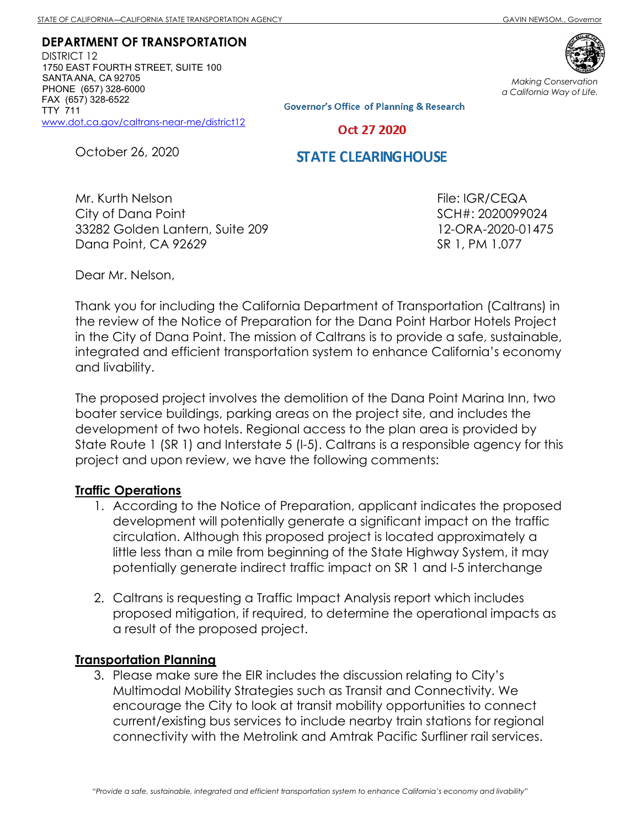DEPARTMENT OF TRANSPORTATION

DISTRICT 12 1750 EAST FOURTH STREET, SUITE 100 SANTA ANA, CA 92705 PHONE (657) 328-6000 FAX (657) 328-6522 TTY 711 www.dot.ca.gov/caltrans-near-me/district12

Making Conservation a California Way of Life.

**Governor's Office of Planning & Research** 

Oct 27 2020

October 26, 2020

## **STATE CLEARING HOUSE**

Mr. Kurth Nelson City of Dana Point 33282 Golden Lantern, Suite 209 Dana Point, CA 92629

File: IGR/CEQA SCH#: 2020099024 12-ORA-2020-01475 SR 1, PM 1.077

Dear Mr. Nelson,

Thank you for including the California Department of Transportation (Caltrans) in the review of the Notice of Preparation for the Dana Point Harbor Hotels Project in the City of Dana Point. The mission of Caltrans is to provide a safe, sustainable, integrated and efficient transportation system to enhance California's economy and livability.

The proposed project involves the demolition of the Dana Point Marina Inn, two boater service buildings, parking areas on the project site, and includes the development of two hotels. Regional access to the plan area is provided by State Route 1 (SR 1) and Interstate 5 (I-5). Caltrans is a responsible agency for this project and upon review, we have the following comments:

## Traffic Operations

- 1. According to the Notice of Preparation, applicant indicates the proposed development will potentially generate a significant impact on the traffic circulation. Although this proposed project is located approximately a little less than a mile from beginning of the State Highway System, it may potentially generate indirect traffic impact on SR 1 and I-5 interchange
- 2. Caltrans is requesting a Traffic Impact Analysis report which includes proposed mitigation, if required, to determine the operational impacts as a result of the proposed project.

## Transportation Planning

3. Please make sure the EIR includes the discussion relating to City's Multimodal Mobility Strategies such as Transit and Connectivity. We encourage the City to look at transit mobility opportunities to connect current/existing bus services to include nearby train stations for regional connectivity with the Metrolink and Amtrak Pacific Surfliner rail services.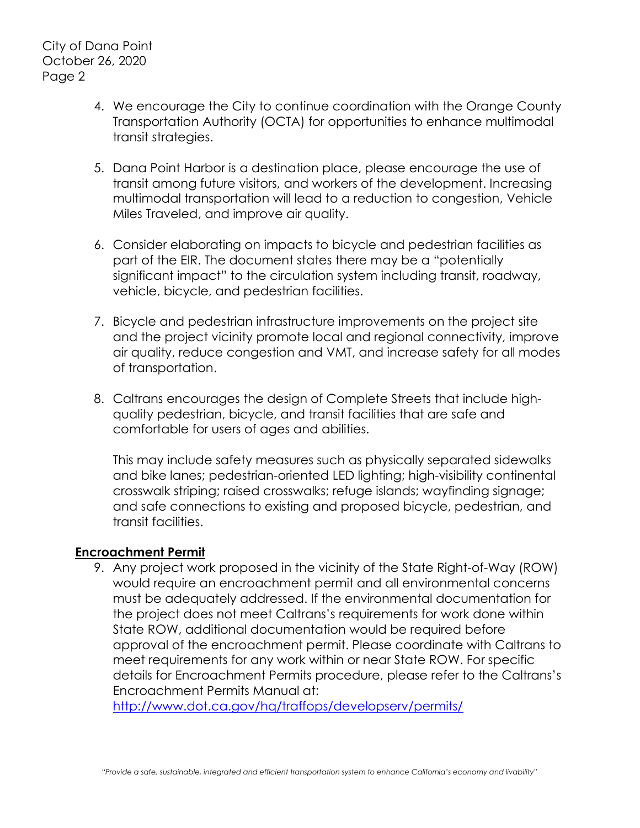- 4. We encourage the City to continue coordination with the Orange County Transportation Authority (OCTA) for opportunities to enhance multimodal transit strategies.
- 5. Dana Point Harbor is a destination place, please encourage the use of transit among future visitors, and workers of the development. Increasing multimodal transportation will lead to a reduction to congestion, Vehicle Miles Traveled, and improve air quality.
- 6. Consider elaborating on impacts to bicycle and pedestrian facilities as part of the EIR. The document states there may be a "potentially significant impact" to the circulation system including transit, roadway, vehicle, bicycle, and pedestrian facilities.
- 7. Bicycle and pedestrian infrastructure improvements on the project site and the project vicinity promote local and regional connectivity, improve air quality, reduce congestion and VMT, and increase safety for all modes of transportation.
- 8. Caltrans encourages the design of Complete Streets that include highquality pedestrian, bicycle, and transit facilities that are safe and comfortable for users of ages and abilities.

This may include safety measures such as physically separated sidewalks and bike lanes; pedestrian-oriented LED lighting; high-visibility continental crosswalk striping; raised crosswalks; refuge islands; wayfinding signage; and safe connections to existing and proposed bicycle, pedestrian, and transit facilities.

## Encroachment Permit

9. Any project work proposed in the vicinity of the State Right-of-Way (ROW) would require an encroachment permit and all environmental concerns must be adequately addressed. If the environmental documentation for the project does not meet Caltrans's requirements for work done within State ROW, additional documentation would be required before approval of the encroachment permit. Please coordinate with Caltrans to meet requirements for any work within or near State ROW. For specific details for Encroachment Permits procedure, please refer to the Caltrans's Encroachment Permits Manual at:

http://www.dot.ca.gov/hq/traffops/developserv/permits/